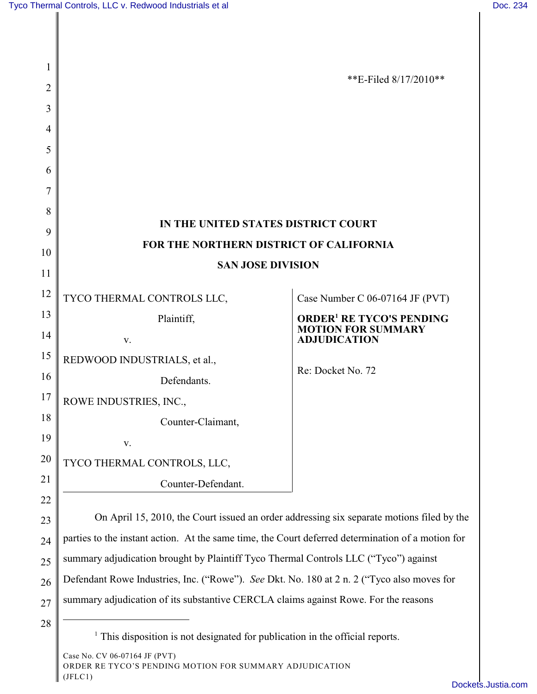| 1  |                                                                                                   |                                                                                                |
|----|---------------------------------------------------------------------------------------------------|------------------------------------------------------------------------------------------------|
| 2  |                                                                                                   | **E-Filed $8/17/2010**$                                                                        |
| 3  |                                                                                                   |                                                                                                |
| 4  |                                                                                                   |                                                                                                |
| 5  |                                                                                                   |                                                                                                |
| 6  |                                                                                                   |                                                                                                |
| 7  |                                                                                                   |                                                                                                |
| 8  | IN THE UNITED STATES DISTRICT COURT                                                               |                                                                                                |
| 9  | FOR THE NORTHERN DISTRICT OF CALIFORNIA                                                           |                                                                                                |
| 10 | <b>SAN JOSE DIVISION</b>                                                                          |                                                                                                |
| 11 |                                                                                                   |                                                                                                |
| 12 | TYCO THERMAL CONTROLS LLC,                                                                        | Case Number C 06-07164 JF (PVT)                                                                |
| 13 | Plaintiff,                                                                                        | <b>ORDER<sup>1</sup> RE TYCO'S PENDING</b><br><b>MOTION FOR SUMMARY</b><br><b>ADJUDICATION</b> |
| 14 | V.                                                                                                |                                                                                                |
| 15 | REDWOOD INDUSTRIALS, et al.,                                                                      | Re: Docket No. 72                                                                              |
| 16 | Defendants.                                                                                       |                                                                                                |
| 17 | ROWE INDUSTRIES, INC.,                                                                            |                                                                                                |
| 18 | Counter-Claimant,                                                                                 |                                                                                                |
| 19 | v.                                                                                                |                                                                                                |
| 20 | TYCO THERMAL CONTROLS, LLC,                                                                       |                                                                                                |
| 21 | Counter-Defendant.                                                                                |                                                                                                |
| 22 |                                                                                                   |                                                                                                |
| 23 | On April 15, 2010, the Court issued an order addressing six separate motions filed by the         |                                                                                                |
| 24 | parties to the instant action. At the same time, the Court deferred determination of a motion for |                                                                                                |
| 25 | summary adjudication brought by Plaintiff Tyco Thermal Controls LLC ("Tyco") against              |                                                                                                |
| 26 | Defendant Rowe Industries, Inc. ("Rowe"). See Dkt. No. 180 at 2 n. 2 ("Tyco also moves for        |                                                                                                |
| 27 | summary adjudication of its substantive CERCLA claims against Rowe. For the reasons               |                                                                                                |
| 28 |                                                                                                   |                                                                                                |

 $<sup>1</sup>$  This disposition is not designated for publication in the official reports.</sup>